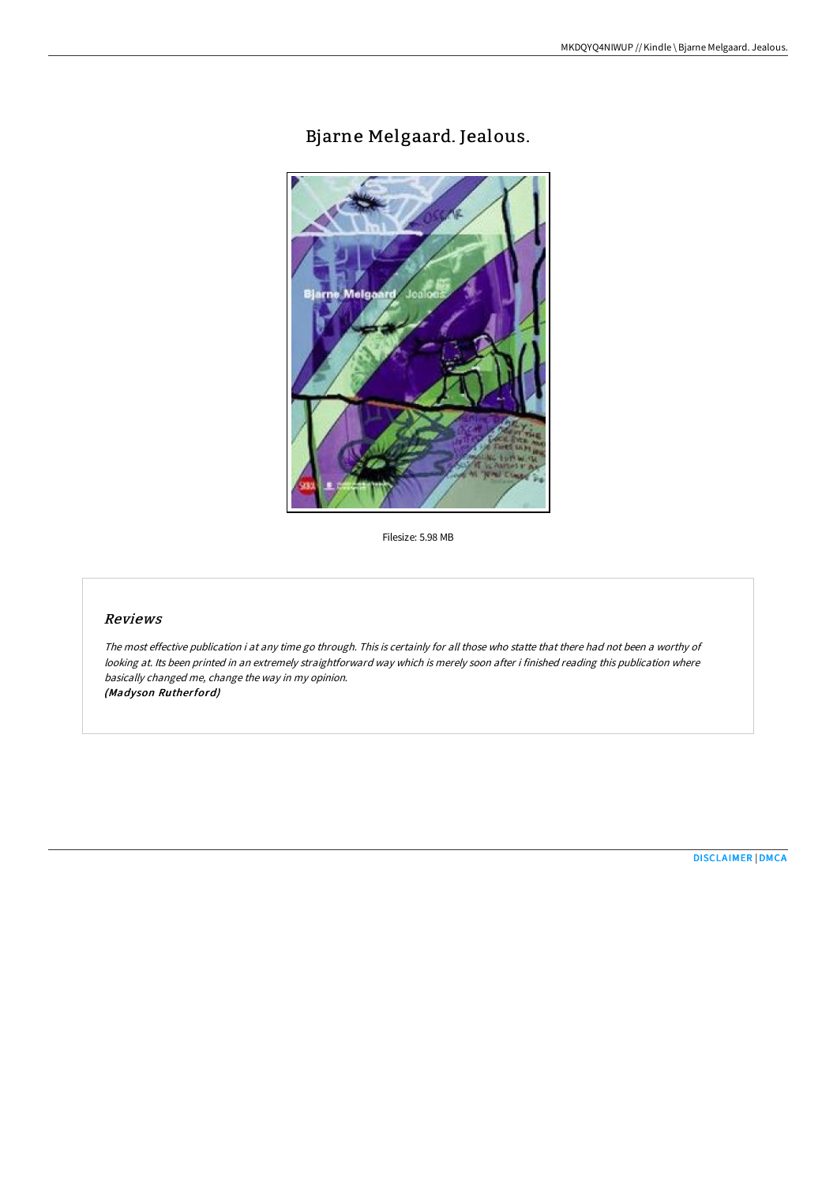# Bjarne Melgaard. Jealous.



Filesize: 5.98 MB

## Reviews

The most effective publication i at any time go through. This is certainly for all those who statte that there had not been <sup>a</sup> worthy of looking at. Its been printed in an extremely straightforward way which is merely soon after i finished reading this publication where basically changed me, change the way in my opinion. (Madyson Rutherford)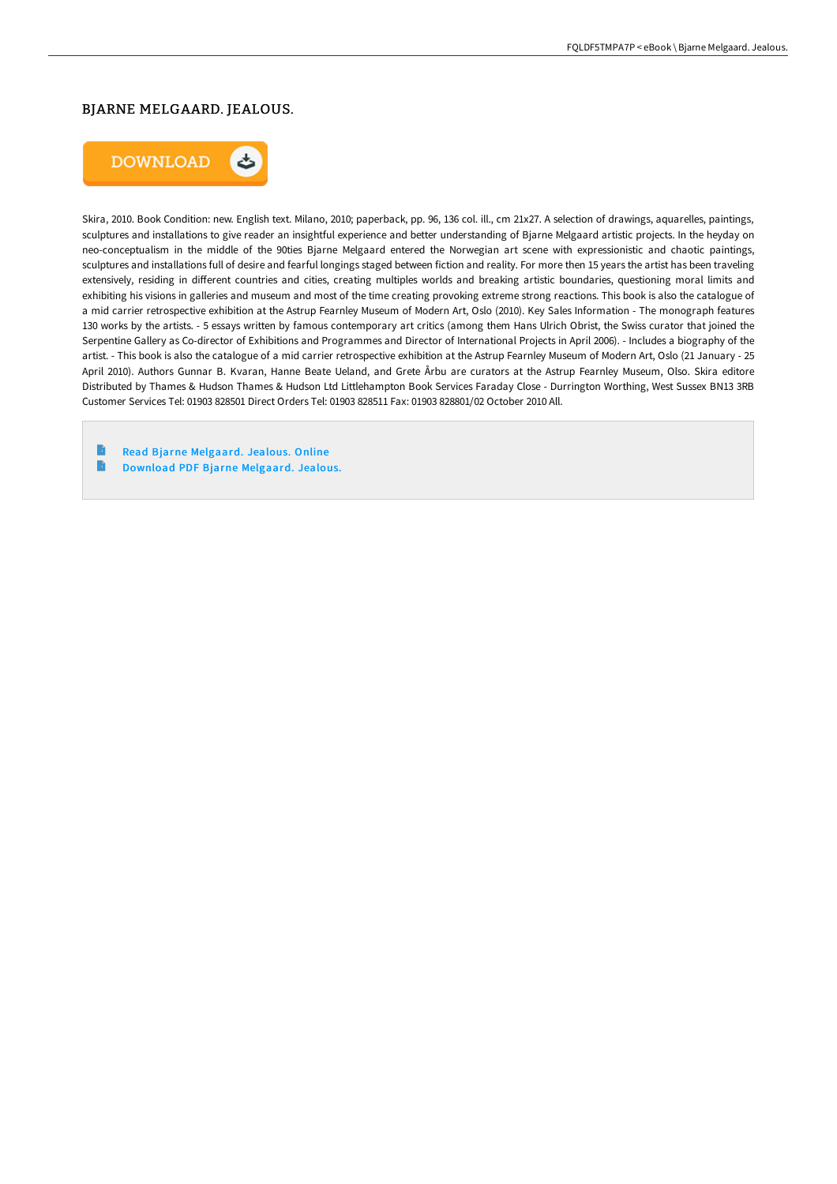### BJARNE MELGAARD. JEALOUS.



Skira, 2010. Book Condition: new. English text. Milano, 2010; paperback, pp. 96, 136 col. ill., cm 21x27. A selection of drawings, aquarelles, paintings, sculptures and installations to give reader an insightful experience and better understanding of Bjarne Melgaard artistic projects. In the heyday on neo-conceptualism in the middle of the 90ties Bjarne Melgaard entered the Norwegian art scene with expressionistic and chaotic paintings, sculptures and installations full of desire and fearful longings staged between fiction and reality. For more then 15 years the artist has been traveling extensively, residing in different countries and cities, creating multiples worlds and breaking artistic boundaries, questioning moral limits and exhibiting his visions in galleries and museum and most of the time creating provoking extreme strong reactions. This book is also the catalogue of a mid carrier retrospective exhibition at the Astrup Fearnley Museum of Modern Art, Oslo (2010). Key Sales Information - The monograph features 130 works by the artists. - 5 essays written by famous contemporary art critics (among them Hans Ulrich Obrist, the Swiss curator that joined the Serpentine Gallery as Co-director of Exhibitions and Programmes and Director of International Projects in April 2006). - Includes a biography of the artist. - This book is also the catalogue of a mid carrier retrospective exhibition at the Astrup Fearnley Museum of Modern Art, Oslo (21 January - 25 April 2010). Authors Gunnar B. Kvaran, Hanne Beate Ueland, and Grete Årbu are curators at the Astrup Fearnley Museum, Olso. Skira editore Distributed by Thames & Hudson Thames & Hudson Ltd Littlehampton Book Services Faraday Close - Durrington Worthing, West Sussex BN13 3RB Customer Services Tel: 01903 828501 Direct Orders Tel: 01903 828511 Fax: 01903 828801/02 October 2010 All.

Read Bjarne [Melgaard.](http://techno-pub.tech/bjarne-melgaard-jealous.html) Jealous. Online B Download PDF Bjarne [Melgaard.](http://techno-pub.tech/bjarne-melgaard-jealous.html) Jealous.